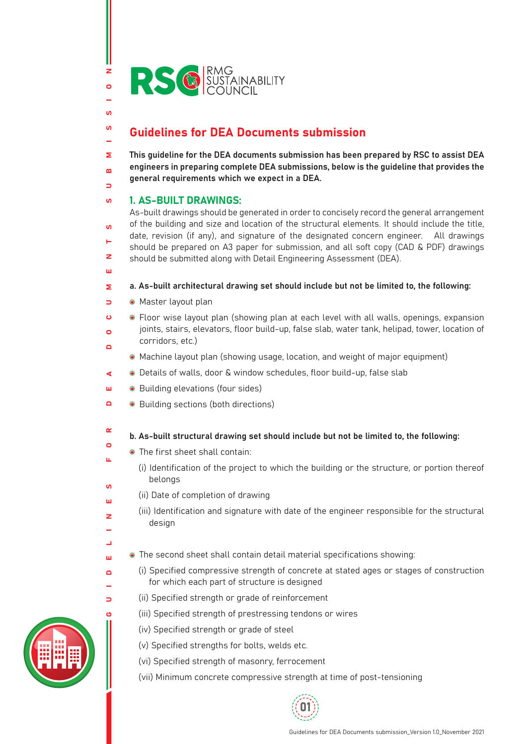

# Guidelines for DEA Documents submission

This guideline for the DEA documents submission has been prepared by RSC to assist DEA Σ engineers in preparing complete DEA submissions, below is the guideline that provides the  $\mathbf{a}$ general requirements which we expect in a DEA.  $\Rightarrow$ 

#### 1. AS-BUILT DRAWINGS:  $\mathbf{u}$

z  $\bullet$ 

 $\mathbf{u}$  $\mathbf{u}$ 

н

ш

 $\alpha$  $\bullet$ u.

 $\mathbf{v}$ ш  $\geq$ 

 $\overline{\phantom{a}}$ ш  $\Box$ 

 $\Rightarrow$  $\overline{a}$ 

As-built drawings should be generated in order to concisely record the general arrangement of the building and size and location of the structural elements. It should include the title,  $\overline{10}$ date, revision (if any), and signature of the designated concern engineer. All drawings should be prepared on A3 paper for submission, and all soft copy (CAD & PDF) drawings  $\overline{z}$ should be submitted along with Detail Engineering Assessment (DEA).

- a. As-built architectural drawing set should include but not be limited to, the following: Σ
- Master layout plan  $\overline{\phantom{0}}$
- GUIDELINES FOR DEA DOCUMENTS SUBMISSION Floor wise layout plan (showing plan at each level with all walls, openings, expansion  $\epsilon$ joints, stairs, elevators, floor build-up, false slab, water tank, helipad, tower, location of  $\overline{a}$ corridors, etc.)  $\Box$ 
	- Machine layout plan (showing usage, location, and weight of major equipment)
- Details of walls, door & window schedules, floor build-up, false slab ∢
- ш Building elevations (four sides)
- $\Box$ ● Building sections (both directions)
	- b. As-built structural drawing set should include but not be limited to, the following:
		- The first sheet shall contain:
			- (i) Identification of the project to which the building or the structure, or portion thereof belongs
	- (ii) Date of completion of drawing
		- (iii) Identification and signature with date of the engineer responsible for the structural design
	- The second sheet shall contain detail material specifications showing:
		- (i) Specified compressive strength of concrete at stated ages or stages of construction for which each part of structure is designed
		- (ii) Specified strength or grade of reinforcement
		- (iii) Specified strength of prestressing tendons or wires
			- (iv) Specified strength or grade of steel
			- (v) Specified strengths for bolts, welds etc.
			- (vi) Specified strength of masonry, ferrocement
			- (vii) Minimum concrete compressive strength at time of post-tensioning



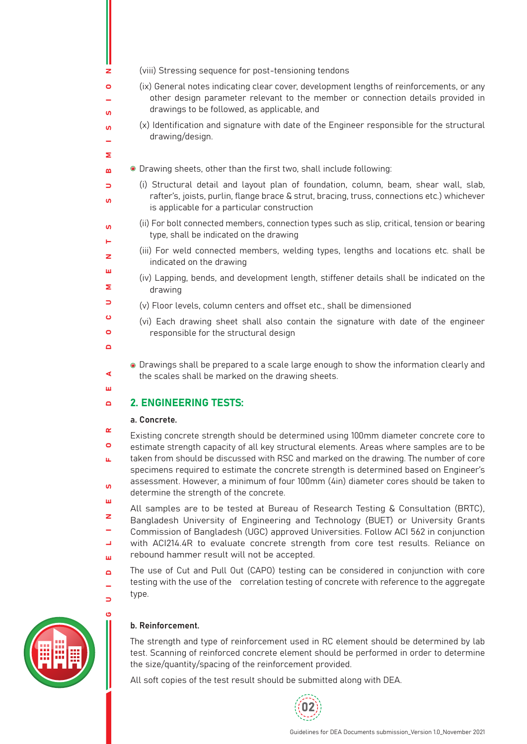- (viii) Stressing sequence for post-tensioning tendons
- (ix) General notes indicating clear cover, development lengths of reinforcements, or any other design parameter relevant to the member or connection details provided in drawings to be followed, as applicable, and
- (x) Identification and signature with date of the Engineer responsible for the structural drawing/design.
- Drawing sheets, other than the first two, shall include following:  $\mathbf{a}$ 
	- (i) Structural detail and layout plan of foundation, column, beam, shear wall, slab, rafter's, joists, purlin, flange brace & strut, bracing, truss, connections etc.) whichever is applicable for a particular construction
	- (ii) For bolt connected members, connection types such as slip, critical, tension or bearing type, shall be indicated on the drawing
	- (iii) For weld connected members, welding types, lengths and locations etc. shall be indicated on the drawing
	- (iv) Lapping, bends, and development length, stiffener details shall be indicated on the drawing
	- (v) Floor levels, column centers and offset etc., shall be dimensioned
		- (vi) Each drawing sheet shall also contain the signature with date of the engineer responsible for the structural design
	- Drawings shall be prepared to a scale large enough to show the information clearly and the scales shall be marked on the drawing sheets.

#### 2. ENGINEERING TESTS:  $\blacksquare$

### a. Concrete.

 $\overline{z}$  $\circ$ 

 $\overline{u}$  $\mathbf{u}$ 

Σ

 $\Rightarrow$  $\overline{u}$ 

 $\overline{10}$ ш  $\overline{z}$ ш Σ  $\Rightarrow$  $\ddot{\mathbf{c}}$  $\overline{a}$  $\Box$ 

◀ ш

 $\Box$ 

 $\Rightarrow$ 

GUIDELINES FOR DEA DOCUMENTS SUBMISSION  $\alpha$ Existing concrete strength should be determined using 100mm diameter concrete core to  $\bullet$ estimate strength capacity of all key structural elements. Areas where samples are to be taken from should be discussed with RSC and marked on the drawing. The number of core ù. specimens required to estimate the concrete strength is determined based on Engineer's assessment. However, a minimum of four 100mm (4in) diameter cores should be taken to  $\mathbf{u}$ 

determine the strength of the concrete. ш

All samples are to be tested at Bureau of Research Testing & Consultation (BRTC),  $\overline{z}$ Bangladesh University of Engineering and Technology (BUET) or University Grants Commission of Bangladesh (UGC) approved Universities. Follow ACI 562 in conjunction  $\overline{\phantom{0}}$ with ACI214.4R to evaluate concrete strength from core test results. Reliance on rebound hammer result will not be accepted. ш

The use of Cut and Pull Out (CAPO) testing can be considered in conjunction with core testing with the use of the correlation testing of concrete with reference to the aggregate type.



## b. Reinforcement.

The strength and type of reinforcement used in RC element should be determined by lab test. Scanning of reinforced concrete element should be performed in order to determine the size/quantity/spacing of the reinforcement provided.

All soft copies of the test result should be submitted along with DEA.

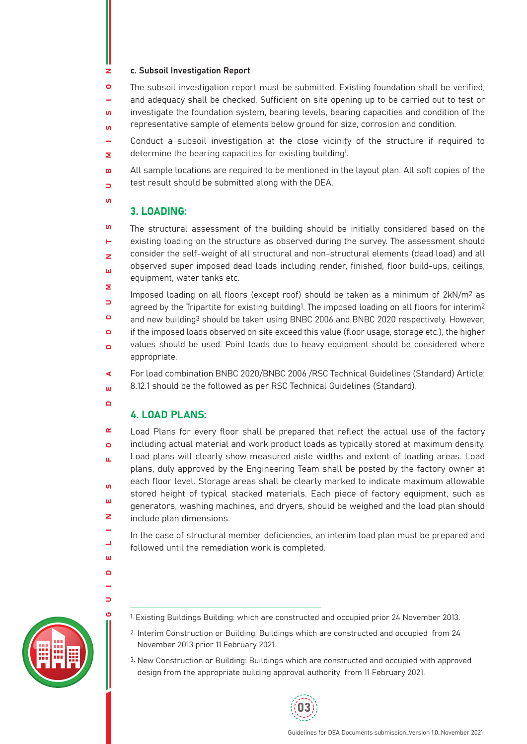#### c. Subsoil Investigation Report z

The subsoil investigation report must be submitted. Existing foundation shall be verified,  $\mathbf{O}$ and adequacy shall be checked. Sufficient on site opening up to be carried out to test or

investigate the foundation system, bearing levels, bearing capacities and condition of the  $\overline{u}$ 

representative sample of elements below ground for size, corrosion and condition.  $\overline{u}$ 

Conduct a subsoil investigation at the close vicinity of the structure if required to determine the bearing capacities for existing building<sup>1</sup>. Σ

All sample locations are required to be mentioned in the layout plan. All soft copies of the  $\mathbf{a}$ test result should be submitted along with the DEA.  $\Rightarrow$ 

## 3. LOADING:

 $\overline{u}$ The structural assessment of the building should be initially considered based on the existing loading on the structure as observed during the survey. The assessment should н consider the self-weight of all structural and non-structural elements (dead load) and all  $\overline{z}$ observed super imposed dead loads including render, finished, floor build-ups, ceilings, ш equipment, water tanks etc. Σ

Imposed loading on all floors (except roof) should be taken as a minimum of  $2kN/m^2$  as  $\Rightarrow$ agreed by the Tripartite for existing building<sup>1</sup>. The imposed loading on all floors for interim<sup>2</sup>  $\ddot{\mathbf{c}}$ and new building3 should be taken using BNBC 2006 and BNBC 2020 respectively. However,

 $\bullet$ if the imposed loads observed on site exceed this value (floor usage, storage etc.), the higher

values should be used. Point loads due to heavy equipment should be considered where  $\overline{\mathbf{a}}$ appropriate.

For load combination BNBC 2020/BNBC 2006 /RSC Technical Guidelines (Standard) Article: ∢ 8.12.1 should be the followed as per RSC Technical Guidelines (Standard). ш

## $\Gamma$

 $\overline{\phantom{0}}$ ш  $\Box$ 

 $\Rightarrow$ 

 $\overline{u}$ 

## 4. LOAD PLANS:

GUIDELINES FOR DEA DOCUMENTS SUBMISSION  $\alpha$ Load Plans for every floor shall be prepared that reflect the actual use of the factory including actual material and work product loads as typically stored at maximum density.  $\bullet$ Load plans will clearly show measured aisle widths and extent of loading areas. Load ù. plans, duly approved by the Engineering Team shall be posted by the factory owner at each floor level. Storage areas shall be clearly marked to indicate maximum allowable  $\mathbf{u}$ stored height of typical stacked materials. Each piece of factory equipment, such as ш generators, washing machines, and dryers, should be weighed and the load plan should  $\overline{z}$ include plan dimensions.

In the case of structural member deficiencies, an interim load plan must be prepared and followed until the remediation work is completed.



- 1. Existing Buildings Building: which are constructed and occupied prior 24 November 2013.
- 2. Interim Construction or Building: Buildings which are constructed and occupied from 24 November 2013 prior 11 February 2021.
- 3. New Construction or Building: Buildings which are constructed and occupied with approved design from the appropriate building approval authority from 11 February 2021.

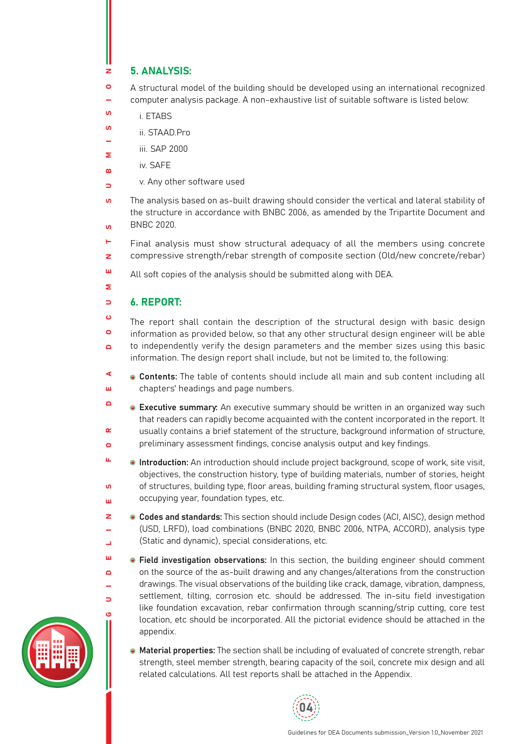### 5. ANALYSIS:  $\overline{z}$

 $\circ$ A structural model of the building should be developed using an international recognized computer analysis package. A non-exhaustive list of suitable software is listed below:

- $\mathbf{u}$ i. ETABS
- $\mathbf{u}$ ii. STAAD.Pro
- iii. SAP 2000 Σ
- iv. SAFE  $\mathbf{a}$ 
	- v. Any other software used
- $\overline{u}$ The analysis based on as-built drawing should consider the vertical and lateral stability of the structure in accordance with BNBC 2006, as amended by the Tripartite Document and BNBC 2020.  $\overline{10}$
- e. Final analysis must show structural adequacy of all the members using concrete compressive strength/rebar strength of composite section (Old/new concrete/rebar)  $\overline{z}$
- ш All soft copies of the analysis should be submitted along with DEA.
- Σ

ш  $\Box$ 

 $\Rightarrow$ 

 $\Rightarrow$ 

### 6. REPORT:  $\Rightarrow$

GUIDELINES FOR DEA DOCUMENTS SUBMISSION  $\ddot{\mathbf{c}}$ The report shall contain the description of the structural design with basic design  $\bullet$ information as provided below, so that any other structural design engineer will be able to independently verify the design parameters and the member sizes using this basic  $\overline{\mathbf{a}}$ information. The design report shall include, but not be limited to, the following:

- ◀ **Contents:** The table of contents should include all main and sub content including all ш chapters' headings and page numbers.
- $\Box$ **Executive summary:** An executive summary should be written in an organized way such that readers can rapidly become acquainted with the content incorporated in the report. It  $\alpha$ usually contains a brief statement of the structure, background information of structure, preliminary assessment findings, concise analysis output and key findings.  $\bullet$
- ü. **Introduction:** An introduction should include project background, scope of work, site visit, objectives, the construction history, type of building materials, number of stories, height of structures, building type, floor areas, building framing structural system, floor usages,  $\mathbf{u}$ occupying year, foundation types, etc. ш
- z Codes and standards: This section should include Design codes (ACI, AISC), design method (USD, LRFD), load combinations (BNBC 2020, BNBC 2006, NTPA, ACCORD), analysis type  $\overline{a}$ (Static and dynamic), special considerations, etc.  $\overline{\phantom{a}}$ 
	- **Field investigation observations:** In this section, the building engineer should comment on the source of the as-built drawing and any changes/alterations from the construction drawings. The visual observations of the building like crack, damage, vibration, dampness, settlement, tilting, corrosion etc. should be addressed. The in-situ field investigation like foundation excavation, rebar confirmation through scanning/strip cutting, core test location, etc should be incorporated. All the pictorial evidence should be attached in the appendix.
		- **Material properties:** The section shall be including of evaluated of concrete strength, rebar strength, steel member strength, bearing capacity of the soil, concrete mix design and all related calculations. All test reports shall be attached in the Appendix.